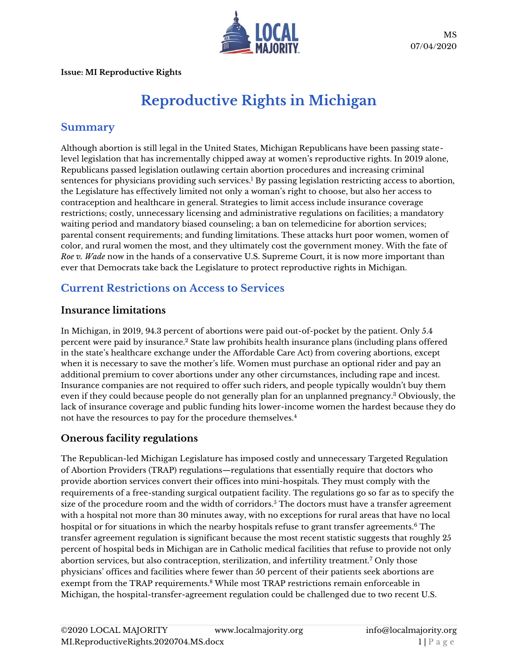

**Issue: MI Reproductive Rights**

# **Reproductive Rights in Michigan**

## **Summary**

Although abortion is still legal in the United States, Michigan Republicans have been passing statelevel legislation that has incrementally chipped away at women's reproductive rights. In 2019 alone, Republicans passed legislation outlawing certain abortion procedures and increasing criminal sentences for physicians providing such services.<sup>1</sup> By passing legislation restricting access to abortion, the Legislature has effectively limited not only a woman's right to choose, but also her access to contraception and healthcare in general. Strategies to limit access include insurance coverage restrictions; costly, unnecessary licensing and administrative regulations on facilities; a mandatory waiting period and mandatory biased counseling; a ban on telemedicine for abortion services; parental consent requirements; and funding limitations. These attacks hurt poor women, women of color, and rural women the most, and they ultimately cost the government money. With the fate of *Roe v. Wade* now in the hands of a conservative U.S. Supreme Court, it is now more important than ever that Democrats take back the Legislature to protect reproductive rights in Michigan.

# **Current Restrictions on Access to Services**

#### **Insurance limitations**

In Michigan, in 2019, 94.3 percent of abortions were paid out-of-pocket by the patient. Only 5.4 percent were paid by insurance.<sup>2</sup> State law prohibits health insurance plans (including plans offered in the state's healthcare exchange under the Affordable Care Act) from covering abortions, except when it is necessary to save the mother's life. Women must purchase an optional rider and pay an additional premium to cover abortions under any other circumstances, including rape and incest. Insurance companies are not required to offer such riders, and people typically wouldn't buy them even if they could because people do not generally plan for an unplanned pregnancy.<sup>3</sup> Obviously, the lack of insurance coverage and public funding hits lower-income women the hardest because they do not have the resources to pay for the procedure themselves.<sup>4</sup>

## **Onerous facility regulations**

The Republican-led Michigan Legislature has imposed costly and unnecessary Targeted Regulation of Abortion Providers (TRAP) regulations—regulations that essentially require that doctors who provide abortion services convert their offices into mini-hospitals. They must comply with the requirements of a free-standing surgical outpatient facility. The regulations go so far as to specify the size of the procedure room and the width of corridors.<sup>5</sup> The doctors must have a transfer agreement with a hospital not more than 30 minutes away, with no exceptions for rural areas that have no local hospital or for situations in which the nearby hospitals refuse to grant transfer agreements.<sup>6</sup> The transfer agreement regulation is significant because the most recent statistic suggests that roughly 25 percent of hospital beds in Michigan are in Catholic medical facilities that refuse to provide not only abortion services, but also contraception, sterilization, and infertility treatment.<sup>7</sup> Only those physicians' offices and facilities where fewer than 50 percent of their patients seek abortions are exempt from the TRAP requirements.<sup>8</sup> While most TRAP restrictions remain enforceable in Michigan, the hospital-transfer-agreement regulation could be challenged due to two recent U.S.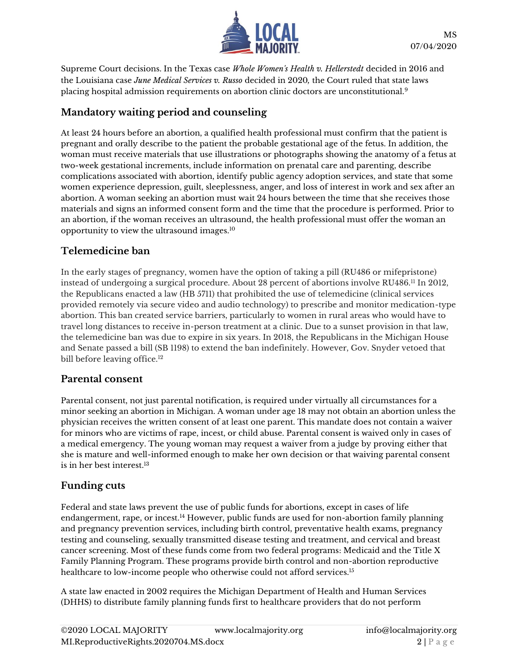

Supreme Court decisions. In the Texas case *Whole Women's Health v. Hellerstedt* decided in 2016 and the Louisiana case *June Medical Services v. Russo* decided in 2020*,* the Court ruled that state laws placing hospital admission requirements on abortion clinic doctors are unconstitutional.<sup>9</sup>

#### **Mandatory waiting period and counseling**

At least 24 hours before an abortion, a qualified health professional must confirm that the patient is pregnant and orally describe to the patient the probable gestational age of the fetus. In addition, the woman must receive materials that use illustrations or photographs showing the anatomy of a fetus at two-week gestational increments, include information on prenatal care and parenting, describe complications associated with abortion, identify public agency adoption services, and state that some women experience depression, guilt, sleeplessness, anger, and loss of interest in work and sex after an abortion. A woman seeking an abortion must wait 24 hours between the time that she receives those materials and signs an informed consent form and the time that the procedure is performed. Prior to an abortion, if the woman receives an ultrasound, the health professional must offer the woman an opportunity to view the ultrasound images.<sup>10</sup>

### **Telemedicine ban**

In the early stages of pregnancy, women have the option of taking a pill (RU486 or mifepristone) instead of undergoing a surgical procedure. About 28 percent of abortions involve RU486.<sup>11</sup> In 2012, the Republicans enacted a law (HB 5711) that prohibited the use of telemedicine (clinical services provided remotely via secure video and audio technology) to prescribe and monitor medication-type abortion. This ban created service barriers, particularly to women in rural areas who would have to travel long distances to receive in-person treatment at a clinic. Due to a sunset provision in that law, the telemedicine ban was due to expire in six years. In 2018, the Republicans in the Michigan House and Senate passed a bill (SB 1198) to extend the ban indefinitely. However, Gov. Snyder vetoed that bill before leaving office.<sup>12</sup>

#### **Parental consent**

Parental consent, not just parental notification, is required under virtually all circumstances for a minor seeking an abortion in Michigan. A woman under age 18 may not obtain an abortion unless the physician receives the written consent of at least one parent. This mandate does not contain a waiver for minors who are victims of rape, incest, or child abuse. Parental consent is waived only in cases of a medical emergency. The young woman may request a waiver from a judge by proving either that she is mature and well-informed enough to make her own decision or that waiving parental consent is in her best interest.<sup>13</sup>

#### **Funding cuts**

Federal and state laws prevent the use of public funds for abortions, except in cases of life endangerment, rape, or incest.<sup>14</sup> However, public funds are used for non-abortion family planning and pregnancy prevention services, including birth control, preventative health exams, pregnancy testing and counseling, sexually transmitted disease testing and treatment, and cervical and breast cancer screening. Most of these funds come from two federal programs: Medicaid and the Title X Family Planning Program. These programs provide birth control and non-abortion reproductive healthcare to low-income people who otherwise could not afford services.<sup>15</sup>

A state law enacted in 2002 requires the Michigan Department of Health and Human Services (DHHS) to distribute family planning funds first to healthcare providers that do not perform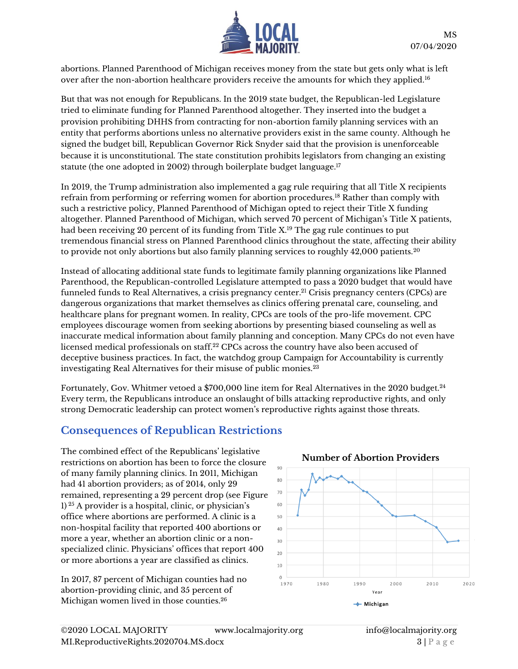

abortions. Planned Parenthood of Michigan receives money from the state but gets only what is left over after the non-abortion healthcare providers receive the amounts for which they applied.<sup>16</sup>

But that was not enough for Republicans. In the 2019 state budget, the Republican-led Legislature tried to eliminate funding for Planned Parenthood altogether. They inserted into the budget a provision prohibiting DHHS from contracting for non-abortion family planning services with an entity that performs abortions unless no alternative providers exist in the same county. Although he signed the budget bill, Republican Governor Rick Snyder said that the provision is unenforceable because it is unconstitutional. The state constitution prohibits legislators from changing an existing statute (the one adopted in 2002) through boilerplate budget language.<sup>17</sup>

In 2019, the Trump administration also implemented a gag rule requiring that all Title X recipients refrain from performing or referring women for abortion procedures.<sup>18</sup> Rather than comply with such a restrictive policy, Planned Parenthood of Michigan opted to reject their Title X funding altogether. Planned Parenthood of Michigan, which served 70 percent of Michigan's Title X patients, had been receiving 20 percent of its funding from Title X. <sup>19</sup> The gag rule continues to put tremendous financial stress on Planned Parenthood clinics throughout the state, affecting their ability to provide not only abortions but also family planning services to roughly 42,000 patients.<sup>20</sup>

Instead of allocating additional state funds to legitimate family planning organizations like Planned Parenthood, the Republican-controlled Legislature attempted to pass a 2020 budget that would have funneled funds to Real Alternatives, a crisis pregnancy center.<sup>21</sup> Crisis pregnancy centers (CPCs) are dangerous organizations that market themselves as clinics offering prenatal care, counseling, and healthcare plans for pregnant women. In reality, CPCs are tools of the pro-life movement. CPC employees discourage women from seeking abortions by presenting biased counseling as well as inaccurate medical information about family planning and conception. Many CPCs do not even have licensed medical professionals on staff.<sup>22</sup> CPCs across the country have also been accused of deceptive business practices. In fact, the watchdog group Campaign for Accountability is currently investigating Real Alternatives for their misuse of public monies.<sup>23</sup>

Fortunately, Gov. Whitmer vetoed a \$700,000 line item for Real Alternatives in the 2020 budget.<sup>24</sup> Every term, the Republicans introduce an onslaught of bills attacking reproductive rights, and only strong Democratic leadership can protect women's reproductive rights against those threats.

#### **Consequences of Republican Restrictions**

The combined effect of the Republicans' legislative restrictions on abortion has been to force the closure of many family planning clinics. In 2011, Michigan had 41 abortion providers; as of 2014, only 29 remained, representing a 29 percent drop (see Figure 1) <sup>25</sup> A provider is a hospital, clinic, or physician's office where abortions are performed. A clinic is a non-hospital facility that reported 400 abortions or more a year, whether an abortion clinic or a nonspecialized clinic. Physicians' offices that report 400 or more abortions a year are classified as clinics.

In 2017, 87 percent of Michigan counties had no abortion-providing clinic, and 35 percent of Michigan women lived in those counties.<sup>26</sup>

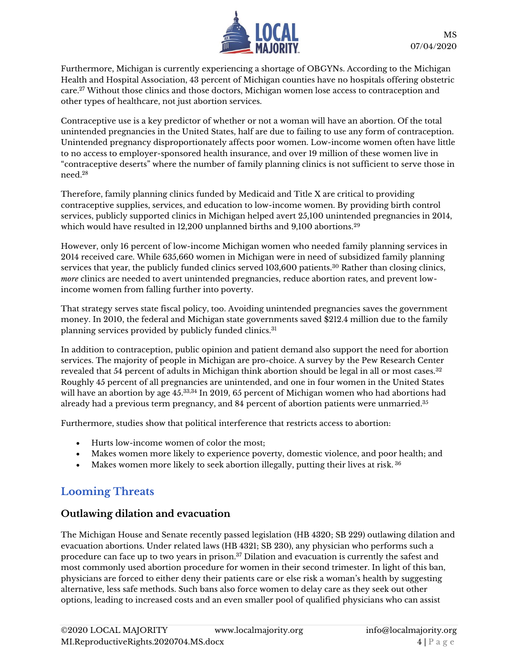

Furthermore, Michigan is currently experiencing a shortage of OBGYNs. According to the Michigan Health and Hospital Association, 43 percent of Michigan counties have no hospitals offering obstetric care.<sup>27</sup> Without those clinics and those doctors, Michigan women lose access to contraception and other types of healthcare, not just abortion services.

Contraceptive use is a key predictor of whether or not a woman will have an abortion. Of the total unintended pregnancies in the United States, half are due to failing to use any form of contraception. Unintended pregnancy disproportionately affects poor women. Low-income women often have little to no access to employer-sponsored health insurance, and over 19 million of these women live in "contraceptive deserts" where the number of family planning clinics is not sufficient to serve those in need.<sup>28</sup>

Therefore, family planning clinics funded by Medicaid and Title X are critical to providing contraceptive supplies, services, and education to low-income women. By providing birth control services, publicly supported clinics in Michigan helped avert 25,100 unintended pregnancies in 2014, which would have resulted in 12,200 unplanned births and 9,100 abortions.<sup>29</sup>

However, only 16 percent of low-income Michigan women who needed family planning services in 2014 received care. While 635,660 women in Michigan were in need of subsidized family planning services that year, the publicly funded clinics served 103,600 patients.<sup>30</sup> Rather than closing clinics, *more* clinics are needed to avert unintended pregnancies, reduce abortion rates, and prevent lowincome women from falling further into poverty.

That strategy serves state fiscal policy, too. Avoiding unintended pregnancies saves the government money. In 2010, the federal and Michigan state governments saved \$212.4 million due to the family planning services provided by publicly funded clinics.<sup>31</sup>

In addition to contraception, public opinion and patient demand also support the need for abortion services. The majority of people in Michigan are pro-choice. A survey by the Pew Research Center revealed that 54 percent of adults in Michigan think abortion should be legal in all or most cases.<sup>32</sup> Roughly 45 percent of all pregnancies are unintended, and one in four women in the United States will have an abortion by age 45.<sup>33,34</sup> In 2019, 65 percent of Michigan women who had abortions had already had a previous term pregnancy, and 84 percent of abortion patients were unmarried.<sup>35</sup>

Furthermore, studies show that political interference that restricts access to abortion:

- Hurts low-income women of color the most;
- Makes women more likely to experience poverty, domestic violence, and poor health; and
- Makes women more likely to seek abortion illegally, putting their lives at risk.  $36$

# **Looming Threats**

#### **Outlawing dilation and evacuation**

The Michigan House and Senate recently passed legislation (HB 4320; SB 229) outlawing dilation and evacuation abortions. Under related laws (HB 4321; SB 230), any physician who performs such a procedure can face up to two years in prison.<sup>37</sup> Dilation and evacuation is currently the safest and most commonly used abortion procedure for women in their second trimester. In light of this ban, physicians are forced to either deny their patients care or else risk a woman's health by suggesting alternative, less safe methods. Such bans also force women to delay care as they seek out other options, leading to increased costs and an even smaller pool of qualified physicians who can assist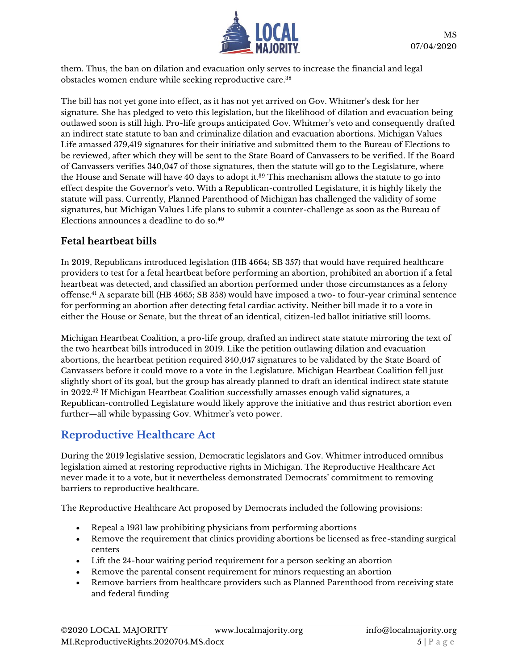

them. Thus, the ban on dilation and evacuation only serves to increase the financial and legal obstacles women endure while seeking reproductive care.<sup>38</sup>

The bill has not yet gone into effect, as it has not yet arrived on Gov. Whitmer's desk for her signature. She has pledged to veto this legislation, but the likelihood of dilation and evacuation being outlawed soon is still high. Pro-life groups anticipated Gov. Whitmer's veto and consequently drafted an indirect state statute to ban and criminalize dilation and evacuation abortions. Michigan Values Life amassed 379,419 signatures for their initiative and submitted them to the Bureau of Elections to be reviewed, after which they will be sent to the State Board of Canvassers to be verified. If the Board of Canvassers verifies 340,047 of those signatures, then the statute will go to the Legislature, where the House and Senate will have 40 days to adopt it.<sup>39</sup> This mechanism allows the statute to go into effect despite the Governor's veto. With a Republican-controlled Legislature, it is highly likely the statute will pass. Currently, Planned Parenthood of Michigan has challenged the validity of some signatures, but Michigan Values Life plans to submit a counter-challenge as soon as the Bureau of Elections announces a deadline to do so.<sup>40</sup>

#### **Fetal heartbeat bills**

In 2019, Republicans introduced legislation (HB 4664; SB 357) that would have required healthcare providers to test for a fetal heartbeat before performing an abortion, prohibited an abortion if a fetal heartbeat was detected, and classified an abortion performed under those circumstances as a felony offense. <sup>41</sup> A separate bill (HB 4665; SB 358) would have imposed a two- to four-year criminal sentence for performing an abortion after detecting fetal cardiac activity. Neither bill made it to a vote in either the House or Senate, but the threat of an identical, citizen-led ballot initiative still looms.

Michigan Heartbeat Coalition, a pro-life group, drafted an indirect state statute mirroring the text of the two heartbeat bills introduced in 2019. Like the petition outlawing dilation and evacuation abortions, the heartbeat petition required 340,047 signatures to be validated by the State Board of Canvassers before it could move to a vote in the Legislature. Michigan Heartbeat Coalition fell just slightly short of its goal, but the group has already planned to draft an identical indirect state statute in 2022.<sup>42</sup> If Michigan Heartbeat Coalition successfully amasses enough valid signatures, a Republican-controlled Legislature would likely approve the initiative and thus restrict abortion even further—all while bypassing Gov. Whitmer's veto power.

## **Reproductive Healthcare Act**

During the 2019 legislative session, Democratic legislators and Gov. Whitmer introduced omnibus legislation aimed at restoring reproductive rights in Michigan. The Reproductive Healthcare Act never made it to a vote, but it nevertheless demonstrated Democrats' commitment to removing barriers to reproductive healthcare.

The Reproductive Healthcare Act proposed by Democrats included the following provisions:

- Repeal a 1931 law prohibiting physicians from performing abortions
- Remove the requirement that clinics providing abortions be licensed as free-standing surgical centers
- Lift the 24-hour waiting period requirement for a person seeking an abortion
- Remove the parental consent requirement for minors requesting an abortion
- Remove barriers from healthcare providers such as Planned Parenthood from receiving state and federal funding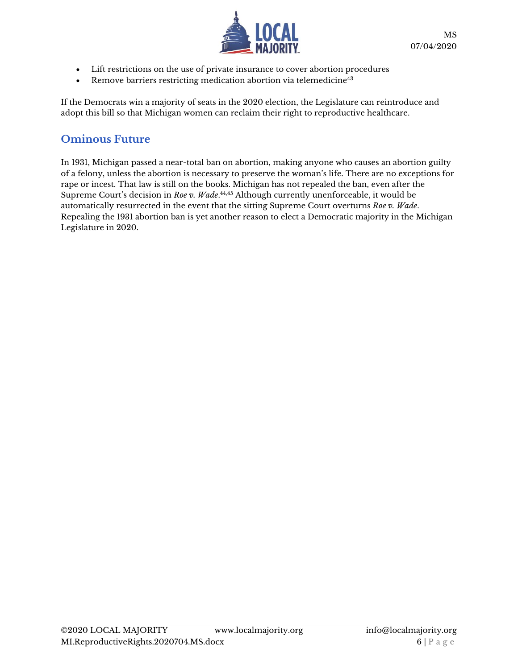

- Lift restrictions on the use of private insurance to cover abortion procedures
- Remove barriers restricting medication abortion via telemedicine $43$

If the Democrats win a majority of seats in the 2020 election, the Legislature can reintroduce and adopt this bill so that Michigan women can reclaim their right to reproductive healthcare.

# **Ominous Future**

In 1931, Michigan passed a near-total ban on abortion, making anyone who causes an abortion guilty of a felony, unless the abortion is necessary to preserve the woman's life. There are no exceptions for rape or incest. That law is still on the books. Michigan has not repealed the ban, even after the Supreme Court's decision in *Roe v. Wade*. 44,45 Although currently unenforceable, it would be automatically resurrected in the event that the sitting Supreme Court overturns *Roe v. Wade*. Repealing the 1931 abortion ban is yet another reason to elect a Democratic majority in the Michigan Legislature in 2020.